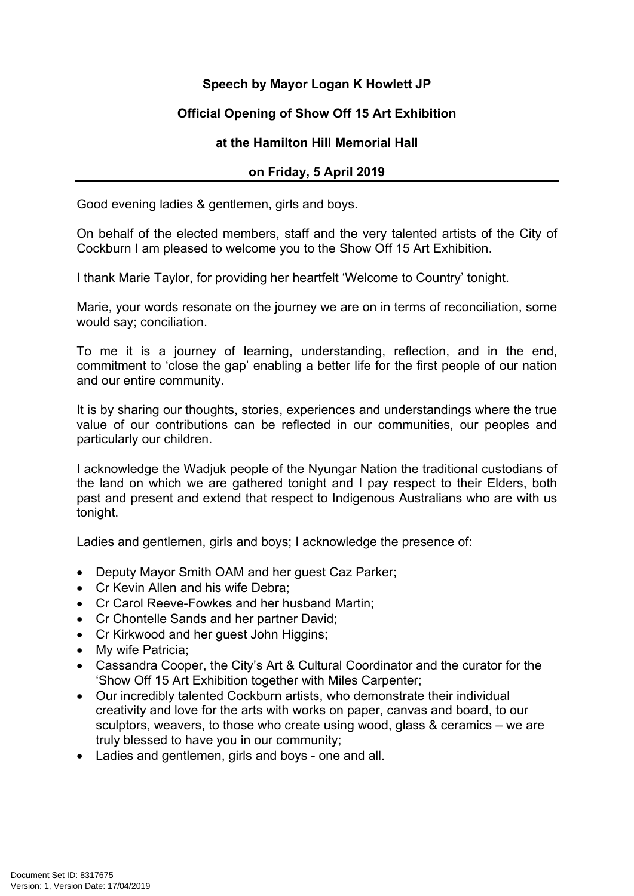## **Speech by Mayor Logan K Howlett JP**

## **Official Opening of Show Off 15 Art Exhibition**

## **at the Hamilton Hill Memorial Hall**

## **on Friday, 5 April 2019**

Good evening ladies & gentlemen, girls and boys.

On behalf of the elected members, staff and the very talented artists of the City of Cockburn I am pleased to welcome you to the Show Off 15 Art Exhibition.

I thank Marie Taylor, for providing her heartfelt 'Welcome to Country' tonight.

Marie, your words resonate on the journey we are on in terms of reconciliation, some would say; conciliation.

To me it is a journey of learning, understanding, reflection, and in the end, commitment to 'close the gap' enabling a better life for the first people of our nation and our entire community.

It is by sharing our thoughts, stories, experiences and understandings where the true value of our contributions can be reflected in our communities, our peoples and particularly our children.

I acknowledge the Wadjuk people of the Nyungar Nation the traditional custodians of the land on which we are gathered tonight and I pay respect to their Elders, both past and present and extend that respect to Indigenous Australians who are with us tonight.

Ladies and gentlemen, girls and boys; I acknowledge the presence of:

- Deputy Mayor Smith OAM and her guest Caz Parker;
- Cr Kevin Allen and his wife Debra:
- Cr Carol Reeve-Fowkes and her husband Martin;
- Cr Chontelle Sands and her partner David;
- Cr Kirkwood and her quest John Higgins;
- My wife Patricia:
- Cassandra Cooper, the City's Art & Cultural Coordinator and the curator for the 'Show Off 15 Art Exhibition together with Miles Carpenter;
- Our incredibly talented Cockburn artists, who demonstrate their individual creativity and love for the arts with works on paper, canvas and board, to our sculptors, weavers, to those who create using wood, glass & ceramics – we are truly blessed to have you in our community;
- Ladies and gentlemen, girls and boys one and all.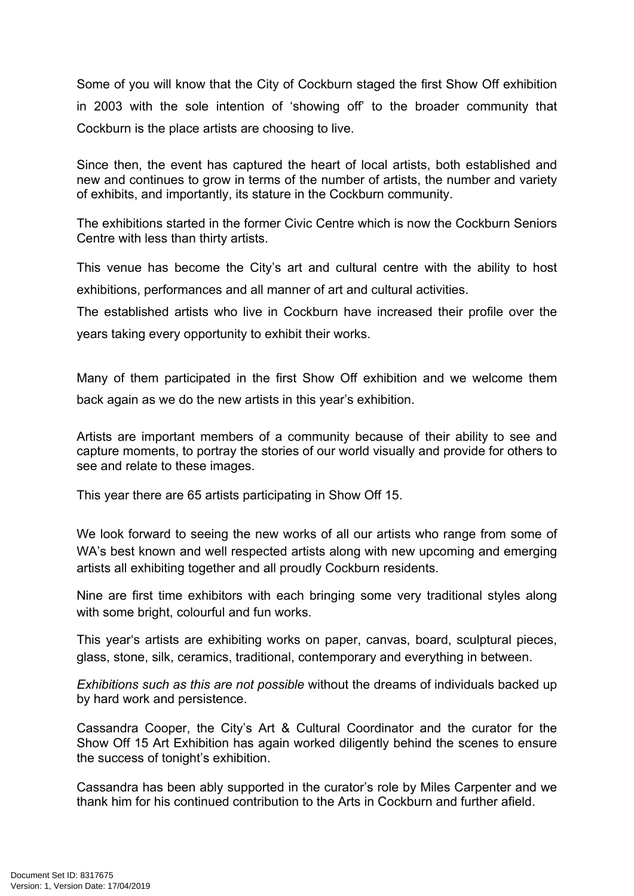Some of you will know that the City of Cockburn staged the first Show Off exhibition in 2003 with the sole intention of 'showing off' to the broader community that Cockburn is the place artists are choosing to live.

Since then, the event has captured the heart of local artists, both established and new and continues to grow in terms of the number of artists, the number and variety of exhibits, and importantly, its stature in the Cockburn community.

The exhibitions started in the former Civic Centre which is now the Cockburn Seniors Centre with less than thirty artists.

This venue has become the City's art and cultural centre with the ability to host exhibitions, performances and all manner of art and cultural activities.

The established artists who live in Cockburn have increased their profile over the years taking every opportunity to exhibit their works.

Many of them participated in the first Show Off exhibition and we welcome them back again as we do the new artists in this year's exhibition.

Artists are important members of a community because of their ability to see and capture moments, to portray the stories of our world visually and provide for others to see and relate to these images.

This year there are 65 artists participating in Show Off 15.

We look forward to seeing the new works of all our artists who range from some of WA's best known and well respected artists along with new upcoming and emerging artists all exhibiting together and all proudly Cockburn residents.

Nine are first time exhibitors with each bringing some very traditional styles along with some bright, colourful and fun works.

This year's artists are exhibiting works on paper, canvas, board, sculptural pieces, glass, stone, silk, ceramics, traditional, contemporary and everything in between.

*Exhibitions such as this are not possible* without the dreams of individuals backed up by hard work and persistence.

Cassandra Cooper, the City's Art & Cultural Coordinator and the curator for the Show Off 15 Art Exhibition has again worked diligently behind the scenes to ensure the success of tonight's exhibition.

Cassandra has been ably supported in the curator's role by Miles Carpenter and we thank him for his continued contribution to the Arts in Cockburn and further afield.